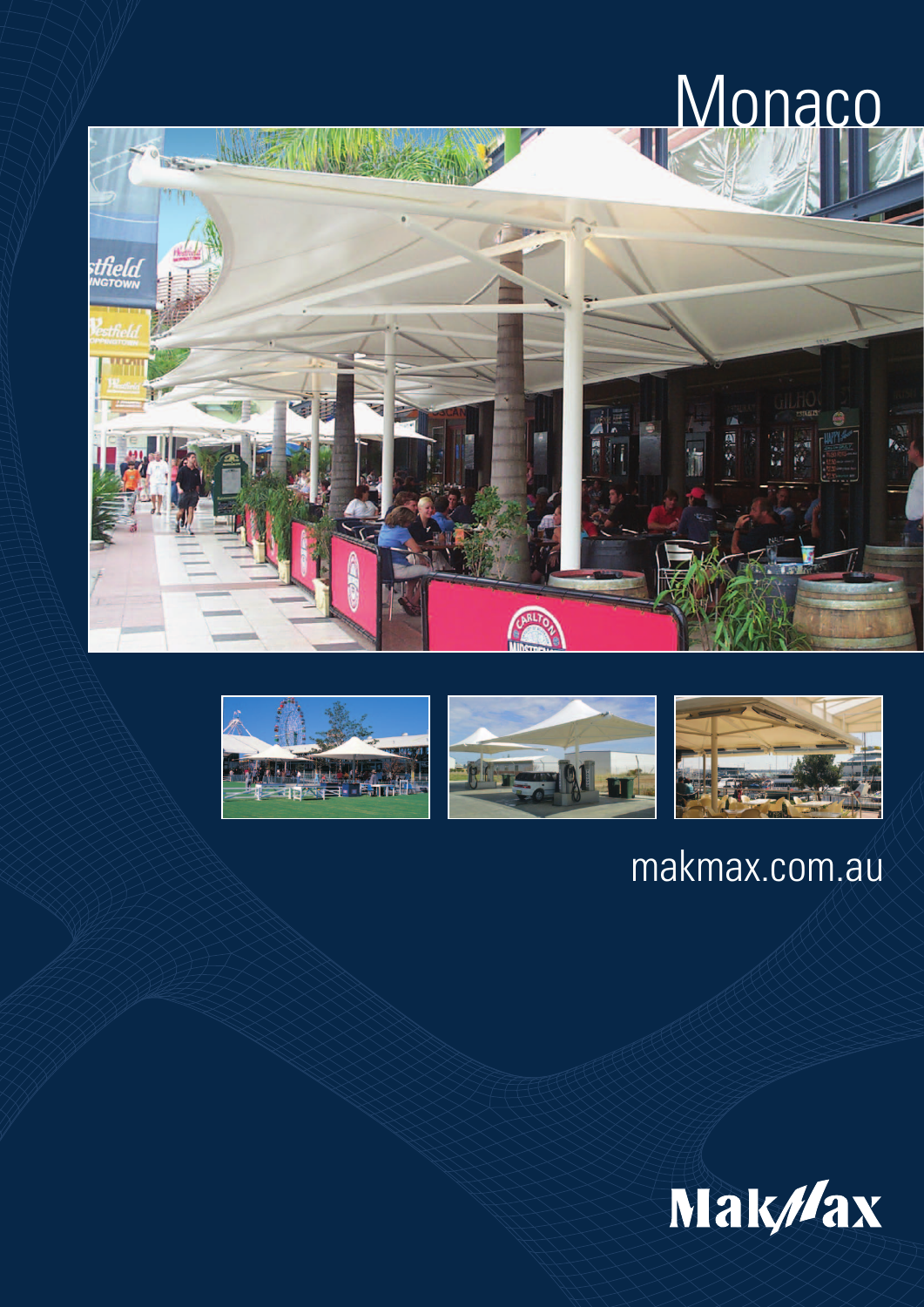# **Monaco**









### makmax.com.au